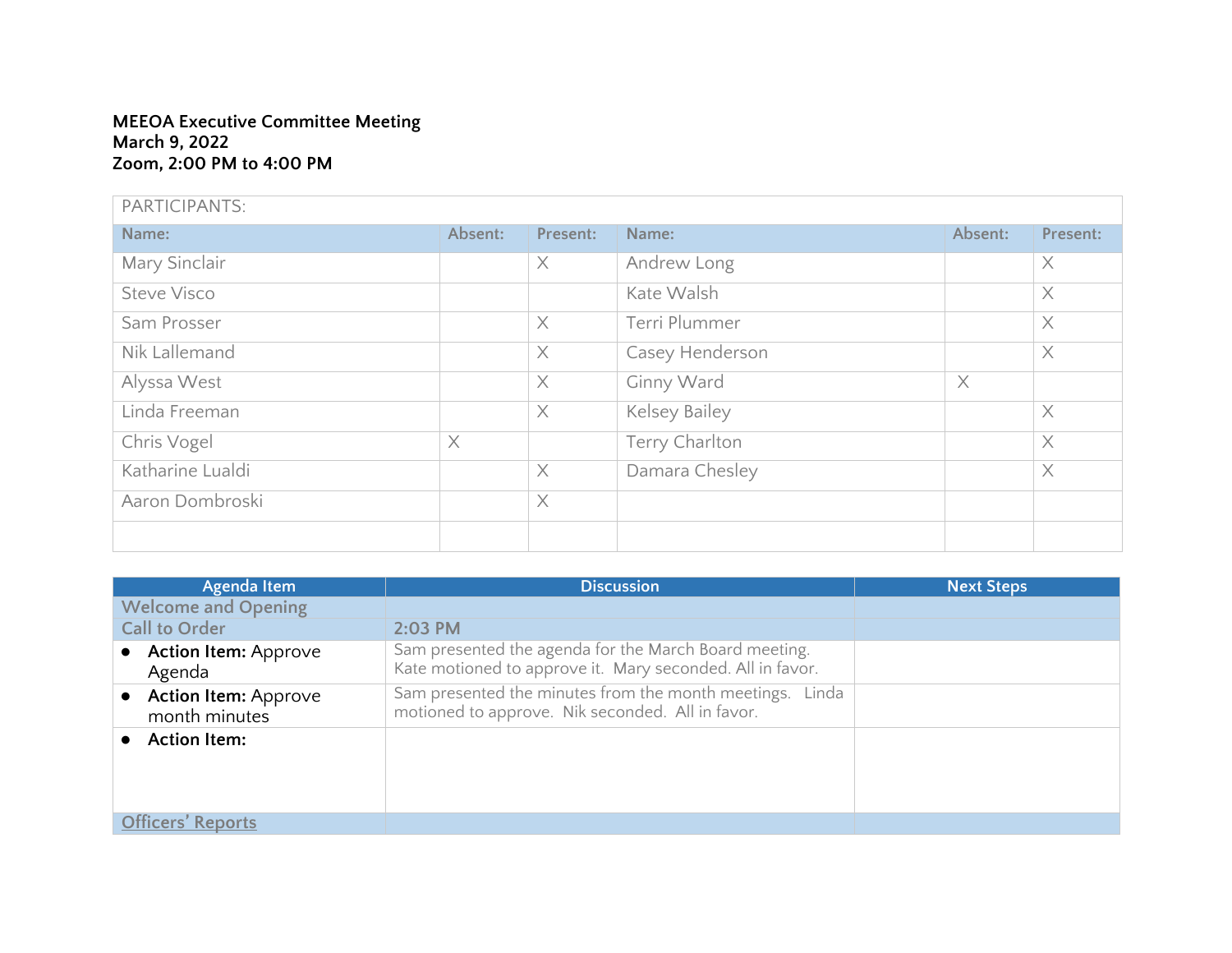## **MEEOA Executive Committee Meeting March 9, 2022 Zoom, 2:00 PM to 4:00 PM**

| PARTICIPANTS:      |          |          |                 |          |          |
|--------------------|----------|----------|-----------------|----------|----------|
| Name:              | Absent:  | Present: | Name:           | Absent:  | Present: |
| Mary Sinclair      |          | X        | Andrew Long     |          | $\times$ |
| <b>Steve Visco</b> |          |          | Kate Walsh      |          | $\times$ |
| Sam Prosser        |          | $\times$ | Terri Plummer   |          | $\times$ |
| Nik Lallemand      |          | $\times$ | Casey Henderson |          | $\times$ |
| Alyssa West        |          | $\times$ | Ginny Ward      | $\times$ |          |
| Linda Freeman      |          | $\times$ | Kelsey Bailey   |          | $\times$ |
| Chris Vogel        | $\times$ |          | Terry Charlton  |          | $\times$ |
| Katharine Lualdi   |          | $\times$ | Damara Chesley  |          | $\times$ |
| Aaron Dombroski    |          | $\times$ |                 |          |          |
|                    |          |          |                 |          |          |

| Agenda Item                             | <b>Discussion</b>                                                                                                  | <b>Next Steps</b> |
|-----------------------------------------|--------------------------------------------------------------------------------------------------------------------|-------------------|
| <b>Welcome and Opening</b>              |                                                                                                                    |                   |
| <b>Call to Order</b>                    | $2:03$ PM                                                                                                          |                   |
| <b>Action Item: Approve</b><br>Agenda   | Sam presented the agenda for the March Board meeting.<br>Kate motioned to approve it. Mary seconded. All in favor. |                   |
| • Action Item: Approve<br>month minutes | Sam presented the minutes from the month meetings. Linda<br>motioned to approve. Nik seconded. All in favor.       |                   |
| <b>Action Item:</b>                     |                                                                                                                    |                   |
| <b>Officers' Reports</b>                |                                                                                                                    |                   |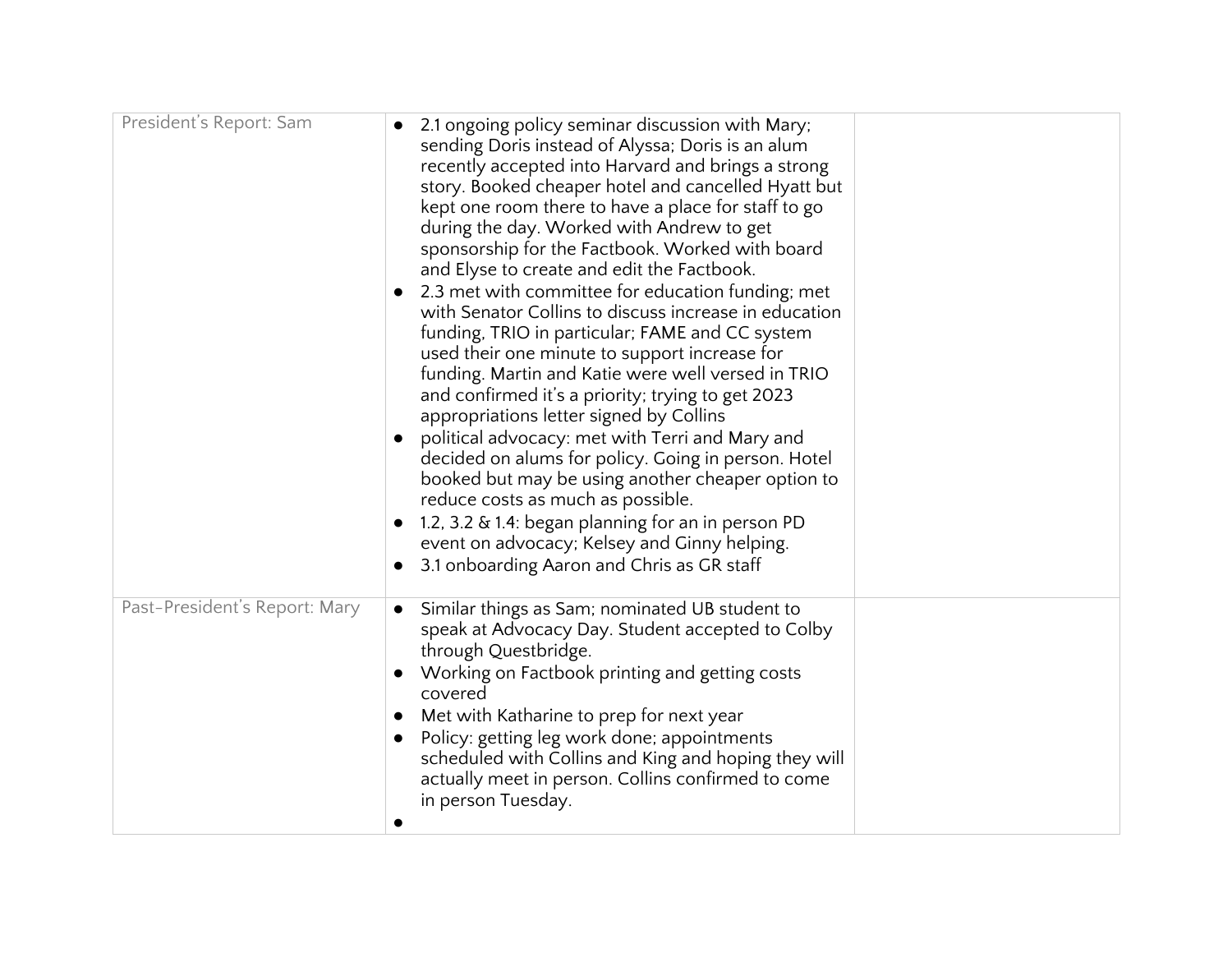| President's Report: Sam       | 2.1 ongoing policy seminar discussion with Mary;<br>sending Doris instead of Alyssa; Doris is an alum<br>recently accepted into Harvard and brings a strong<br>story. Booked cheaper hotel and cancelled Hyatt but<br>kept one room there to have a place for staff to go<br>during the day. Worked with Andrew to get<br>sponsorship for the Factbook. Worked with board<br>and Elyse to create and edit the Factbook.<br>2.3 met with committee for education funding; met<br>with Senator Collins to discuss increase in education<br>funding, TRIO in particular; FAME and CC system<br>used their one minute to support increase for<br>funding. Martin and Katie were well versed in TRIO<br>and confirmed it's a priority; trying to get 2023<br>appropriations letter signed by Collins<br>political advocacy: met with Terri and Mary and<br>decided on alums for policy. Going in person. Hotel<br>booked but may be using another cheaper option to<br>reduce costs as much as possible.<br>1.2, 3.2 & 1.4: began planning for an in person PD<br>$\bullet$<br>event on advocacy; Kelsey and Ginny helping.<br>3.1 onboarding Aaron and Chris as GR staff |
|-------------------------------|----------------------------------------------------------------------------------------------------------------------------------------------------------------------------------------------------------------------------------------------------------------------------------------------------------------------------------------------------------------------------------------------------------------------------------------------------------------------------------------------------------------------------------------------------------------------------------------------------------------------------------------------------------------------------------------------------------------------------------------------------------------------------------------------------------------------------------------------------------------------------------------------------------------------------------------------------------------------------------------------------------------------------------------------------------------------------------------------------------------------------------------------------------------------|
| Past-President's Report: Mary | Similar things as Sam; nominated UB student to<br>$\bullet$<br>speak at Advocacy Day. Student accepted to Colby<br>through Questbridge.<br>Working on Factbook printing and getting costs<br>covered<br>Met with Katharine to prep for next year<br>$\bullet$<br>Policy: getting leg work done; appointments<br>$\bullet$<br>scheduled with Collins and King and hoping they will<br>actually meet in person. Collins confirmed to come<br>in person Tuesday.                                                                                                                                                                                                                                                                                                                                                                                                                                                                                                                                                                                                                                                                                                        |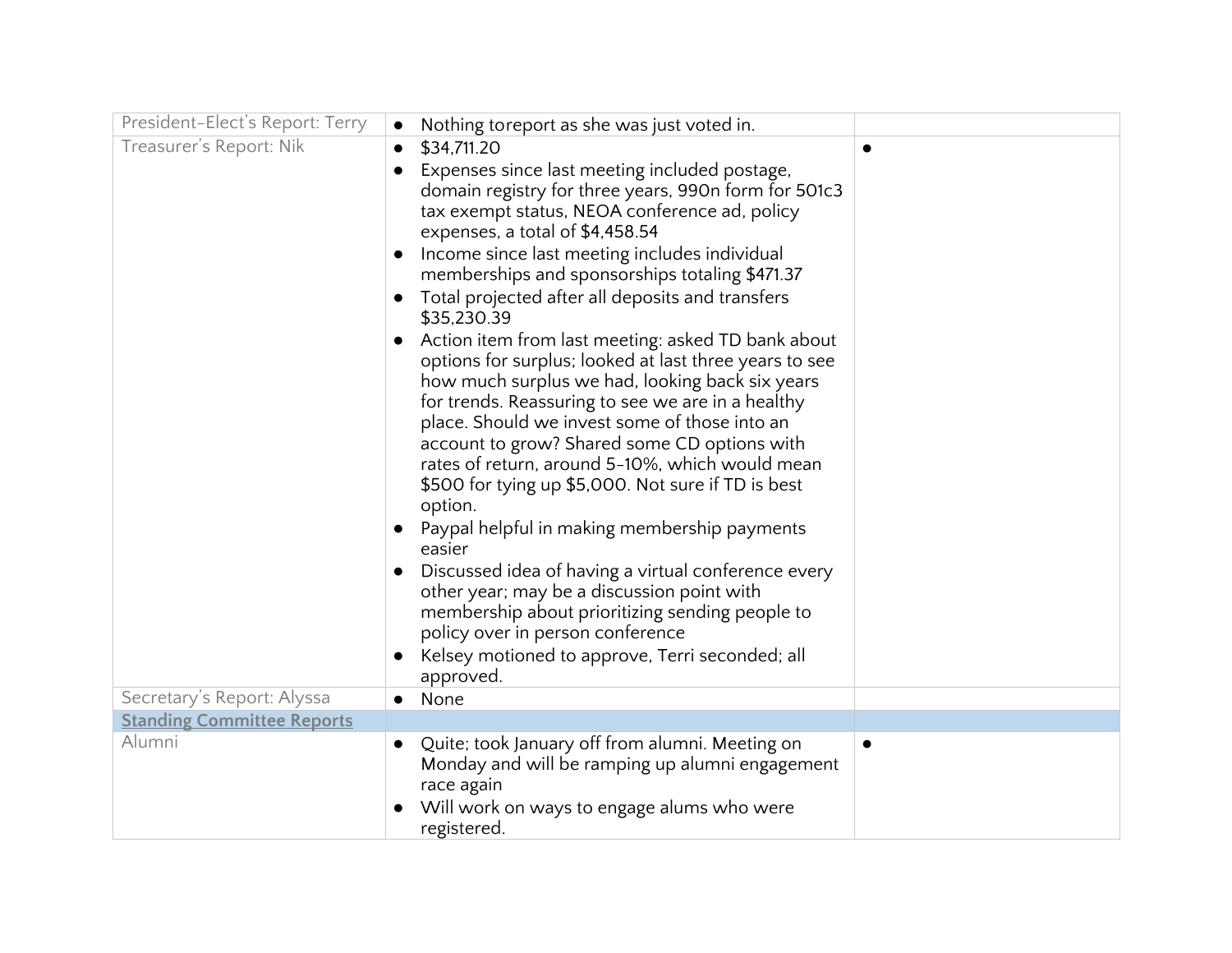| President-Elect's Report: Terry   | Nothing toreport as she was just voted in.                                                                                                                                                                                                                                                                                                                                                                                                                                                                                                                                                                                                                                                                                                                      |           |
|-----------------------------------|-----------------------------------------------------------------------------------------------------------------------------------------------------------------------------------------------------------------------------------------------------------------------------------------------------------------------------------------------------------------------------------------------------------------------------------------------------------------------------------------------------------------------------------------------------------------------------------------------------------------------------------------------------------------------------------------------------------------------------------------------------------------|-----------|
| Treasurer's Report: Nik           | \$34,711.20<br>$\bullet$                                                                                                                                                                                                                                                                                                                                                                                                                                                                                                                                                                                                                                                                                                                                        |           |
|                                   | Expenses since last meeting included postage,<br>domain registry for three years, 990n form for 501c3<br>tax exempt status, NEOA conference ad, policy<br>expenses, a total of \$4,458.54                                                                                                                                                                                                                                                                                                                                                                                                                                                                                                                                                                       |           |
|                                   | Income since last meeting includes individual<br>memberships and sponsorships totaling \$471.37                                                                                                                                                                                                                                                                                                                                                                                                                                                                                                                                                                                                                                                                 |           |
|                                   | Total projected after all deposits and transfers<br>\$35,230.39                                                                                                                                                                                                                                                                                                                                                                                                                                                                                                                                                                                                                                                                                                 |           |
|                                   | Action item from last meeting: asked TD bank about<br>$\bullet$<br>options for surplus; looked at last three years to see<br>how much surplus we had, looking back six years<br>for trends. Reassuring to see we are in a healthy<br>place. Should we invest some of those into an<br>account to grow? Shared some CD options with<br>rates of return, around 5-10%, which would mean<br>\$500 for tying up \$5,000. Not sure if TD is best<br>option.<br>Paypal helpful in making membership payments<br>easier<br>Discussed idea of having a virtual conference every<br>other year; may be a discussion point with<br>membership about prioritizing sending people to<br>policy over in person conference<br>Kelsey motioned to approve, Terri seconded; all |           |
| Secretary's Report: Alyssa        | approved.<br>None                                                                                                                                                                                                                                                                                                                                                                                                                                                                                                                                                                                                                                                                                                                                               |           |
| <b>Standing Committee Reports</b> | $\bullet$                                                                                                                                                                                                                                                                                                                                                                                                                                                                                                                                                                                                                                                                                                                                                       |           |
| Alumni                            | Quite; took January off from alumni. Meeting on<br>Monday and will be ramping up alumni engagement<br>race again<br>Will work on ways to engage alums who were                                                                                                                                                                                                                                                                                                                                                                                                                                                                                                                                                                                                  | $\bullet$ |
|                                   | registered.                                                                                                                                                                                                                                                                                                                                                                                                                                                                                                                                                                                                                                                                                                                                                     |           |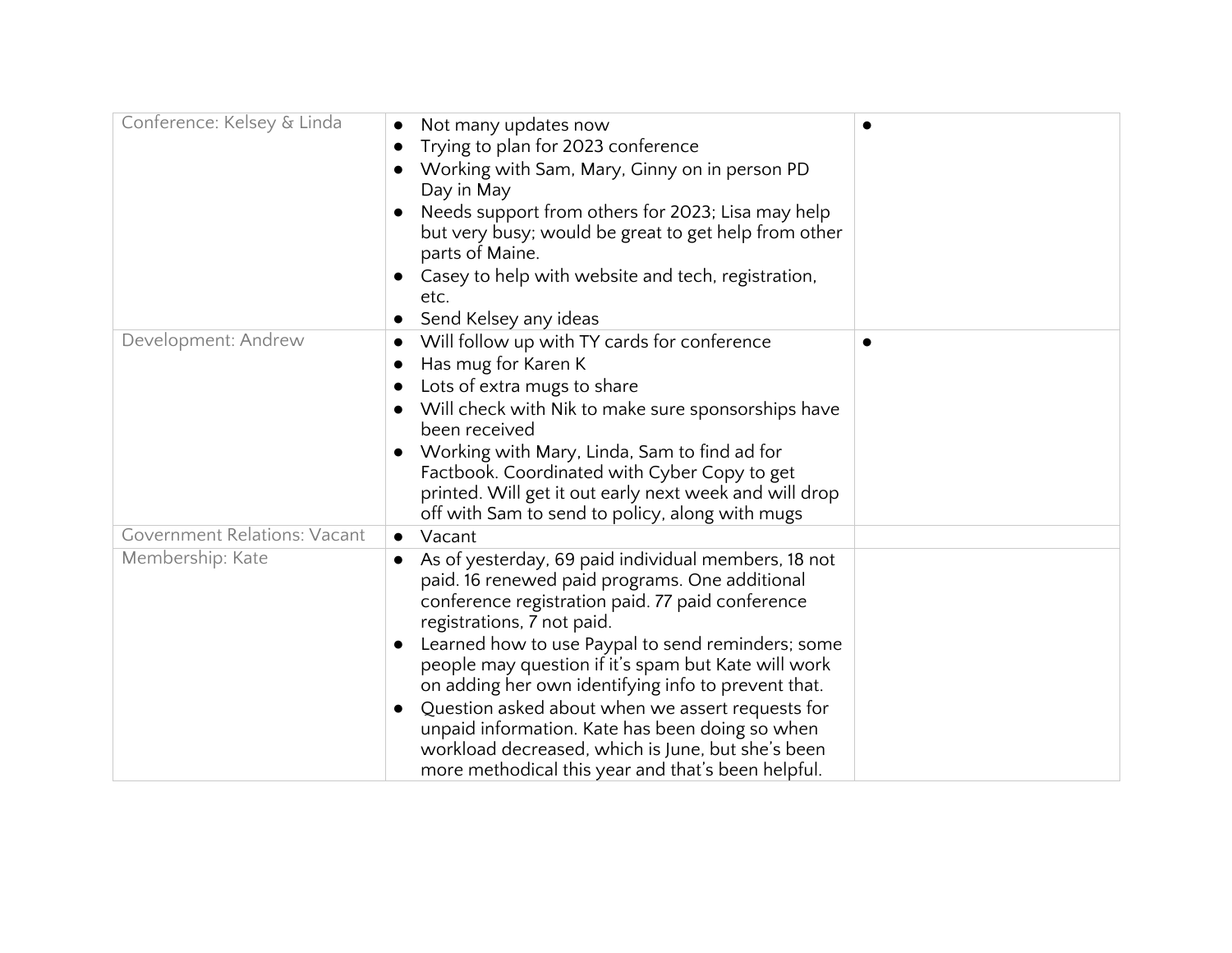| Conference: Kelsey & Linda          | Not many updates now<br>Trying to plan for 2023 conference<br>Working with Sam, Mary, Ginny on in person PD<br>Day in May<br>Needs support from others for 2023; Lisa may help<br>but very busy; would be great to get help from other<br>parts of Maine.<br>Casey to help with website and tech, registration,<br>etc.<br>Send Kelsey any ideas                                                                                                                                                                                                                                          |  |
|-------------------------------------|-------------------------------------------------------------------------------------------------------------------------------------------------------------------------------------------------------------------------------------------------------------------------------------------------------------------------------------------------------------------------------------------------------------------------------------------------------------------------------------------------------------------------------------------------------------------------------------------|--|
| Development: Andrew                 | Will follow up with TY cards for conference<br>$\bullet$<br>Has mug for Karen K<br>$\bullet$<br>Lots of extra mugs to share<br>Will check with Nik to make sure sponsorships have<br>been received<br>Working with Mary, Linda, Sam to find ad for<br>Factbook. Coordinated with Cyber Copy to get<br>printed. Will get it out early next week and will drop<br>off with Sam to send to policy, along with mugs                                                                                                                                                                           |  |
| <b>Government Relations: Vacant</b> | Vacant<br>$\bullet$                                                                                                                                                                                                                                                                                                                                                                                                                                                                                                                                                                       |  |
| Membership: Kate                    | As of yesterday, 69 paid individual members, 18 not<br>paid. 16 renewed paid programs. One additional<br>conference registration paid. 77 paid conference<br>registrations, 7 not paid.<br>Learned how to use Paypal to send reminders; some<br>$\bullet$<br>people may question if it's spam but Kate will work<br>on adding her own identifying info to prevent that.<br>Question asked about when we assert requests for<br>unpaid information. Kate has been doing so when<br>workload decreased, which is June, but she's been<br>more methodical this year and that's been helpful. |  |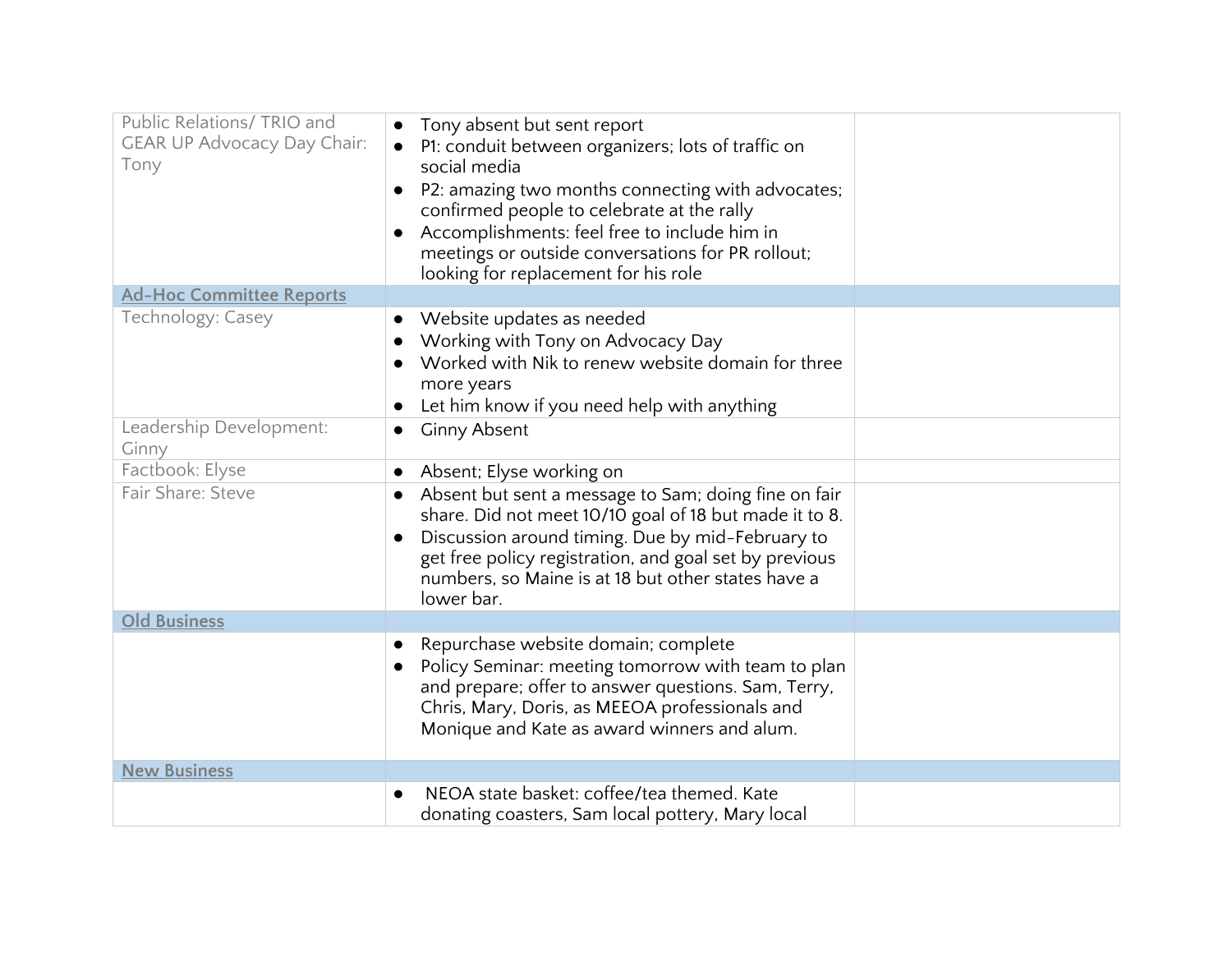| Public Relations/ TRIO and<br><b>GEAR UP Advocacy Day Chair:</b><br>Tony | Tony absent but sent report<br>P1: conduit between organizers; lots of traffic on<br>social media<br>P2: amazing two months connecting with advocates;<br>$\bullet$<br>confirmed people to celebrate at the rally<br>Accomplishments: feel free to include him in<br>meetings or outside conversations for PR rollout; |  |
|--------------------------------------------------------------------------|------------------------------------------------------------------------------------------------------------------------------------------------------------------------------------------------------------------------------------------------------------------------------------------------------------------------|--|
|                                                                          | looking for replacement for his role                                                                                                                                                                                                                                                                                   |  |
| <b>Ad-Hoc Committee Reports</b>                                          |                                                                                                                                                                                                                                                                                                                        |  |
| Technology: Casey                                                        | Website updates as needed<br>Working with Tony on Advocacy Day<br>Worked with Nik to renew website domain for three<br>more years<br>Let him know if you need help with anything                                                                                                                                       |  |
| Leadership Development:                                                  | <b>Ginny Absent</b>                                                                                                                                                                                                                                                                                                    |  |
| Ginny                                                                    |                                                                                                                                                                                                                                                                                                                        |  |
| Factbook: Elyse                                                          | Absent; Elyse working on                                                                                                                                                                                                                                                                                               |  |
| Fair Share: Steve                                                        | Absent but sent a message to Sam; doing fine on fair<br>$\bullet$<br>share. Did not meet 10/10 goal of 18 but made it to 8.<br>Discussion around timing. Due by mid-February to<br>get free policy registration, and goal set by previous<br>numbers, so Maine is at 18 but other states have a<br>lower bar.          |  |
| <b>Old Business</b>                                                      |                                                                                                                                                                                                                                                                                                                        |  |
|                                                                          | Repurchase website domain; complete<br>Policy Seminar: meeting tomorrow with team to plan<br>and prepare; offer to answer questions. Sam, Terry,<br>Chris, Mary, Doris, as MEEOA professionals and<br>Monique and Kate as award winners and alum.                                                                      |  |
| <b>New Business</b>                                                      |                                                                                                                                                                                                                                                                                                                        |  |
|                                                                          | NEOA state basket: coffee/tea themed. Kate<br>donating coasters, Sam local pottery, Mary local                                                                                                                                                                                                                         |  |